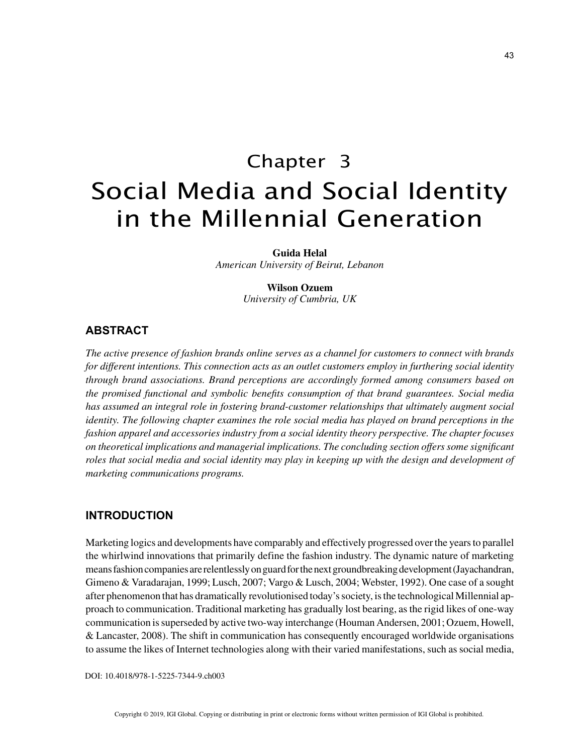# Chapter 3 Social Media and Social Identity in the Millennial Generation

**Guida Helal**

*American University of Beirut, Lebanon*

# **Wilson Ozuem**

*University of Cumbria, UK*

# **ABSTRACT**

*The active presence of fashion brands online serves as a channel for customers to connect with brands for different intentions. This connection acts as an outlet customers employ in furthering social identity through brand associations. Brand perceptions are accordingly formed among consumers based on the promised functional and symbolic benefits consumption of that brand guarantees. Social media has assumed an integral role in fostering brand-customer relationships that ultimately augment social identity. The following chapter examines the role social media has played on brand perceptions in the fashion apparel and accessories industry from a social identity theory perspective. The chapter focuses on theoretical implications and managerial implications. The concluding section offers some significant roles that social media and social identity may play in keeping up with the design and development of marketing communications programs.*

### **INTRODUCTION**

Marketing logics and developments have comparably and effectively progressed over the years to parallel the whirlwind innovations that primarily define the fashion industry. The dynamic nature of marketing means fashion companies are relentlessly on guard for the next groundbreaking development (Jayachandran, Gimeno & Varadarajan, 1999; Lusch, 2007; Vargo & Lusch, 2004; Webster, 1992). One case of a sought after phenomenon that has dramatically revolutionised today's society, is the technological Millennial approach to communication. Traditional marketing has gradually lost bearing, as the rigid likes of one-way communication is superseded by active two-way interchange (Houman Andersen, 2001; Ozuem, Howell, & Lancaster, 2008). The shift in communication has consequently encouraged worldwide organisations to assume the likes of Internet technologies along with their varied manifestations, such as social media,

DOI: 10.4018/978-1-5225-7344-9.ch003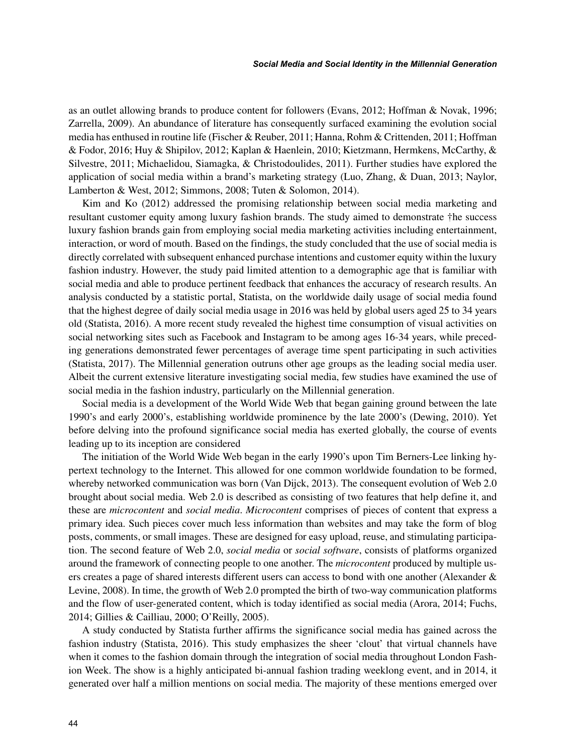as an outlet allowing brands to produce content for followers (Evans, 2012; Hoffman & Novak, 1996; Zarrella, 2009). An abundance of literature has consequently surfaced examining the evolution social media has enthused in routine life (Fischer & Reuber, 2011; Hanna, Rohm & Crittenden, 2011; Hoffman & Fodor, 2016; Huy & Shipilov, 2012; Kaplan & Haenlein, 2010; Kietzmann, Hermkens, McCarthy, & Silvestre, 2011; Michaelidou, Siamagka, & Christodoulides, 2011). Further studies have explored the application of social media within a brand's marketing strategy (Luo, Zhang, & Duan, 2013; Naylor, Lamberton & West, 2012; Simmons, 2008; Tuten & Solomon, 2014).

Kim and Ko (2012) addressed the promising relationship between social media marketing and resultant customer equity among luxury fashion brands. The study aimed to demonstrate †he success luxury fashion brands gain from employing social media marketing activities including entertainment, interaction, or word of mouth. Based on the findings, the study concluded that the use of social media is directly correlated with subsequent enhanced purchase intentions and customer equity within the luxury fashion industry. However, the study paid limited attention to a demographic age that is familiar with social media and able to produce pertinent feedback that enhances the accuracy of research results. An analysis conducted by a statistic portal, Statista, on the worldwide daily usage of social media found that the highest degree of daily social media usage in 2016 was held by global users aged 25 to 34 years old (Statista, 2016). A more recent study revealed the highest time consumption of visual activities on social networking sites such as Facebook and Instagram to be among ages 16-34 years, while preceding generations demonstrated fewer percentages of average time spent participating in such activities (Statista, 2017). The Millennial generation outruns other age groups as the leading social media user. Albeit the current extensive literature investigating social media, few studies have examined the use of social media in the fashion industry, particularly on the Millennial generation.

Social media is a development of the World Wide Web that began gaining ground between the late 1990's and early 2000's, establishing worldwide prominence by the late 2000's (Dewing, 2010). Yet before delving into the profound significance social media has exerted globally, the course of events leading up to its inception are considered

The initiation of the World Wide Web began in the early 1990's upon Tim Berners-Lee linking hypertext technology to the Internet. This allowed for one common worldwide foundation to be formed, whereby networked communication was born (Van Dijck, 2013). The consequent evolution of Web 2.0 brought about social media. Web 2.0 is described as consisting of two features that help define it, and these are *microcontent* and *social media*. *Microcontent* comprises of pieces of content that express a primary idea. Such pieces cover much less information than websites and may take the form of blog posts, comments, or small images. These are designed for easy upload, reuse, and stimulating participation. The second feature of Web 2.0, *social media* or *social software*, consists of platforms organized around the framework of connecting people to one another. The *microcontent* produced by multiple users creates a page of shared interests different users can access to bond with one another (Alexander & Levine, 2008). In time, the growth of Web 2.0 prompted the birth of two-way communication platforms and the flow of user-generated content, which is today identified as social media (Arora, 2014; Fuchs, 2014; Gillies & Cailliau, 2000; O'Reilly, 2005).

A study conducted by Statista further affirms the significance social media has gained across the fashion industry (Statista, 2016). This study emphasizes the sheer 'clout' that virtual channels have when it comes to the fashion domain through the integration of social media throughout London Fashion Week. The show is a highly anticipated bi-annual fashion trading weeklong event, and in 2014, it generated over half a million mentions on social media. The majority of these mentions emerged over